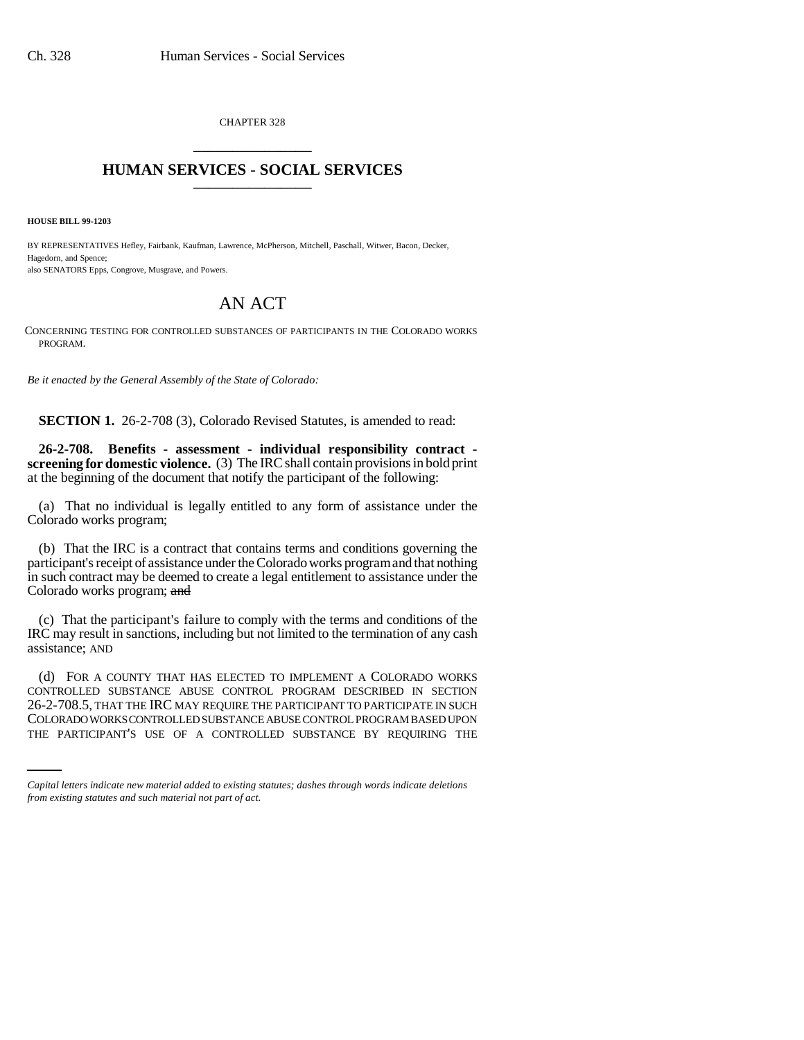CHAPTER 328 \_\_\_\_\_\_\_\_\_\_\_\_\_\_\_

## **HUMAN SERVICES - SOCIAL SERVICES** \_\_\_\_\_\_\_\_\_\_\_\_\_\_\_

**HOUSE BILL 99-1203** 

BY REPRESENTATIVES Hefley, Fairbank, Kaufman, Lawrence, McPherson, Mitchell, Paschall, Witwer, Bacon, Decker, Hagedorn, and Spence; also SENATORS Epps, Congrove, Musgrave, and Powers.

## AN ACT

CONCERNING TESTING FOR CONTROLLED SUBSTANCES OF PARTICIPANTS IN THE COLORADO WORKS PROGRAM.

*Be it enacted by the General Assembly of the State of Colorado:*

**SECTION 1.** 26-2-708 (3), Colorado Revised Statutes, is amended to read:

**26-2-708. Benefits - assessment - individual responsibility contract screening for domestic violence.** (3) The IRC shall contain provisions in bold print at the beginning of the document that notify the participant of the following:

(a) That no individual is legally entitled to any form of assistance under the Colorado works program;

(b) That the IRC is a contract that contains terms and conditions governing the participant's receipt of assistance under the Colorado works program and that nothing in such contract may be deemed to create a legal entitlement to assistance under the Colorado works program; and

(c) That the participant's failure to comply with the terms and conditions of the IRC may result in sanctions, including but not limited to the termination of any cash assistance; AND

26-2-708.5, THAT THE IRC MAY REQUIRE THE PARTICIPANT TO PARTICIPATE IN SUCH (d) FOR A COUNTY THAT HAS ELECTED TO IMPLEMENT A COLORADO WORKS CONTROLLED SUBSTANCE ABUSE CONTROL PROGRAM DESCRIBED IN SECTION COLORADO WORKS CONTROLLED SUBSTANCE ABUSE CONTROL PROGRAM BASED UPON THE PARTICIPANT'S USE OF A CONTROLLED SUBSTANCE BY REQUIRING THE

*Capital letters indicate new material added to existing statutes; dashes through words indicate deletions from existing statutes and such material not part of act.*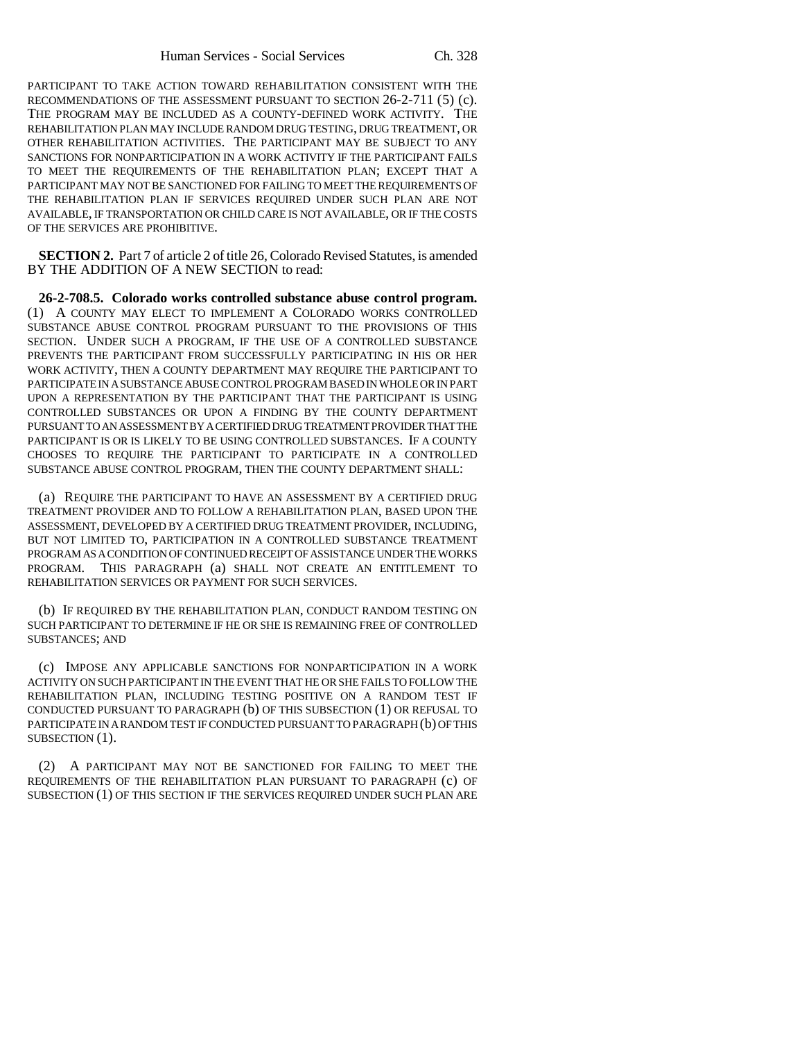PARTICIPANT TO TAKE ACTION TOWARD REHABILITATION CONSISTENT WITH THE RECOMMENDATIONS OF THE ASSESSMENT PURSUANT TO SECTION 26-2-711 (5) (c). THE PROGRAM MAY BE INCLUDED AS A COUNTY-DEFINED WORK ACTIVITY. THE REHABILITATION PLAN MAY INCLUDE RANDOM DRUG TESTING, DRUG TREATMENT, OR OTHER REHABILITATION ACTIVITIES. THE PARTICIPANT MAY BE SUBJECT TO ANY SANCTIONS FOR NONPARTICIPATION IN A WORK ACTIVITY IF THE PARTICIPANT FAILS TO MEET THE REQUIREMENTS OF THE REHABILITATION PLAN; EXCEPT THAT A PARTICIPANT MAY NOT BE SANCTIONED FOR FAILING TO MEET THE REQUIREMENTS OF THE REHABILITATION PLAN IF SERVICES REQUIRED UNDER SUCH PLAN ARE NOT AVAILABLE, IF TRANSPORTATION OR CHILD CARE IS NOT AVAILABLE, OR IF THE COSTS OF THE SERVICES ARE PROHIBITIVE.

**SECTION 2.** Part 7 of article 2 of title 26, Colorado Revised Statutes, is amended BY THE ADDITION OF A NEW SECTION to read:

**26-2-708.5. Colorado works controlled substance abuse control program.** (1) A COUNTY MAY ELECT TO IMPLEMENT A COLORADO WORKS CONTROLLED SUBSTANCE ABUSE CONTROL PROGRAM PURSUANT TO THE PROVISIONS OF THIS SECTION. UNDER SUCH A PROGRAM, IF THE USE OF A CONTROLLED SUBSTANCE PREVENTS THE PARTICIPANT FROM SUCCESSFULLY PARTICIPATING IN HIS OR HER WORK ACTIVITY, THEN A COUNTY DEPARTMENT MAY REQUIRE THE PARTICIPANT TO PARTICIPATE IN A SUBSTANCE ABUSE CONTROL PROGRAM BASED IN WHOLE OR IN PART UPON A REPRESENTATION BY THE PARTICIPANT THAT THE PARTICIPANT IS USING CONTROLLED SUBSTANCES OR UPON A FINDING BY THE COUNTY DEPARTMENT PURSUANT TO AN ASSESSMENT BY A CERTIFIED DRUG TREATMENT PROVIDER THAT THE PARTICIPANT IS OR IS LIKELY TO BE USING CONTROLLED SUBSTANCES. IF A COUNTY CHOOSES TO REQUIRE THE PARTICIPANT TO PARTICIPATE IN A CONTROLLED SUBSTANCE ABUSE CONTROL PROGRAM, THEN THE COUNTY DEPARTMENT SHALL:

(a) REQUIRE THE PARTICIPANT TO HAVE AN ASSESSMENT BY A CERTIFIED DRUG TREATMENT PROVIDER AND TO FOLLOW A REHABILITATION PLAN, BASED UPON THE ASSESSMENT, DEVELOPED BY A CERTIFIED DRUG TREATMENT PROVIDER, INCLUDING, BUT NOT LIMITED TO, PARTICIPATION IN A CONTROLLED SUBSTANCE TREATMENT PROGRAM AS A CONDITION OF CONTINUED RECEIPT OF ASSISTANCE UNDER THE WORKS PROGRAM. THIS PARAGRAPH (a) SHALL NOT CREATE AN ENTITLEMENT TO REHABILITATION SERVICES OR PAYMENT FOR SUCH SERVICES.

(b) IF REQUIRED BY THE REHABILITATION PLAN, CONDUCT RANDOM TESTING ON SUCH PARTICIPANT TO DETERMINE IF HE OR SHE IS REMAINING FREE OF CONTROLLED SUBSTANCES; AND

(c) IMPOSE ANY APPLICABLE SANCTIONS FOR NONPARTICIPATION IN A WORK ACTIVITY ON SUCH PARTICIPANT IN THE EVENT THAT HE OR SHE FAILS TO FOLLOW THE REHABILITATION PLAN, INCLUDING TESTING POSITIVE ON A RANDOM TEST IF CONDUCTED PURSUANT TO PARAGRAPH (b) OF THIS SUBSECTION (1) OR REFUSAL TO PARTICIPATE IN A RANDOM TEST IF CONDUCTED PURSUANT TO PARAGRAPH (b) OF THIS SUBSECTION (1).

(2) A PARTICIPANT MAY NOT BE SANCTIONED FOR FAILING TO MEET THE REQUIREMENTS OF THE REHABILITATION PLAN PURSUANT TO PARAGRAPH (c) OF SUBSECTION (1) OF THIS SECTION IF THE SERVICES REQUIRED UNDER SUCH PLAN ARE